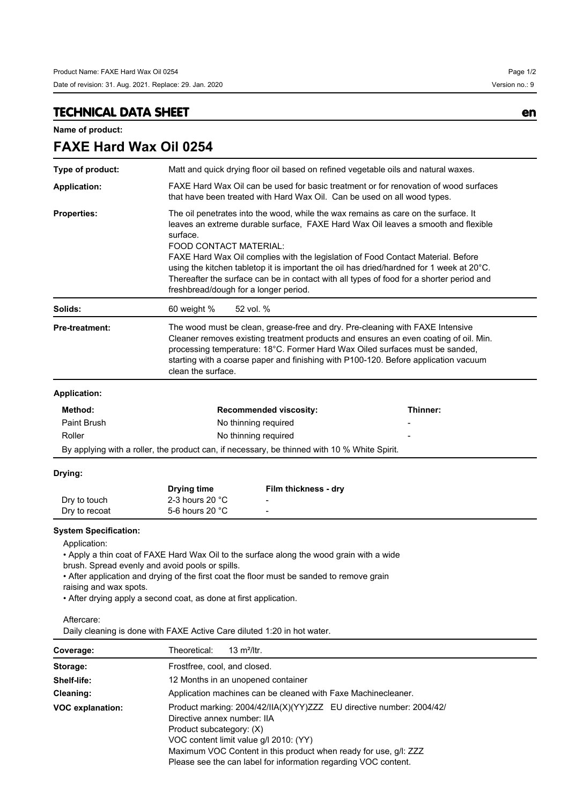## **TECHNICAL DATA SHEET en**

**Name of product:**

| <b>FAXE Hard Wax Oil 0254</b>                                          |                                                                                                                                                                                                                                                                                                                                                                                                                                                                                                                                    |                                                                                                                                                                                       |          |  |  |
|------------------------------------------------------------------------|------------------------------------------------------------------------------------------------------------------------------------------------------------------------------------------------------------------------------------------------------------------------------------------------------------------------------------------------------------------------------------------------------------------------------------------------------------------------------------------------------------------------------------|---------------------------------------------------------------------------------------------------------------------------------------------------------------------------------------|----------|--|--|
| Type of product:                                                       |                                                                                                                                                                                                                                                                                                                                                                                                                                                                                                                                    | Matt and quick drying floor oil based on refined vegetable oils and natural waxes.                                                                                                    |          |  |  |
| <b>Application:</b>                                                    |                                                                                                                                                                                                                                                                                                                                                                                                                                                                                                                                    | FAXE Hard Wax Oil can be used for basic treatment or for renovation of wood surfaces<br>that have been treated with Hard Wax Oil. Can be used on all wood types.                      |          |  |  |
| <b>Properties:</b>                                                     | The oil penetrates into the wood, while the wax remains as care on the surface. It<br>leaves an extreme durable surface, FAXE Hard Wax Oil leaves a smooth and flexible<br>surface.<br>FOOD CONTACT MATERIAL:<br>FAXE Hard Wax Oil complies with the legislation of Food Contact Material. Before<br>using the kitchen tabletop it is important the oil has dried/hardned for 1 week at 20°C.<br>Thereafter the surface can be in contact with all types of food for a shorter period and<br>freshbread/dough for a longer period. |                                                                                                                                                                                       |          |  |  |
| Solids:                                                                | 60 weight %<br>52 vol. %                                                                                                                                                                                                                                                                                                                                                                                                                                                                                                           |                                                                                                                                                                                       |          |  |  |
| <b>Pre-treatment:</b>                                                  | The wood must be clean, grease-free and dry. Pre-cleaning with FAXE Intensive<br>Cleaner removes existing treatment products and ensures an even coating of oil. Min.<br>processing temperature: 18°C. Former Hard Wax Oiled surfaces must be sanded,<br>starting with a coarse paper and finishing with P100-120. Before application vacuum<br>clean the surface.                                                                                                                                                                 |                                                                                                                                                                                       |          |  |  |
| <b>Application:</b>                                                    |                                                                                                                                                                                                                                                                                                                                                                                                                                                                                                                                    |                                                                                                                                                                                       |          |  |  |
| Method:                                                                |                                                                                                                                                                                                                                                                                                                                                                                                                                                                                                                                    | <b>Recommended viscosity:</b>                                                                                                                                                         | Thinner: |  |  |
| Paint Brush                                                            |                                                                                                                                                                                                                                                                                                                                                                                                                                                                                                                                    | No thinning required                                                                                                                                                                  |          |  |  |
| Roller                                                                 |                                                                                                                                                                                                                                                                                                                                                                                                                                                                                                                                    | No thinning required                                                                                                                                                                  |          |  |  |
|                                                                        |                                                                                                                                                                                                                                                                                                                                                                                                                                                                                                                                    | By applying with a roller, the product can, if necessary, be thinned with 10 % White Spirit.                                                                                          |          |  |  |
| Drying:                                                                |                                                                                                                                                                                                                                                                                                                                                                                                                                                                                                                                    |                                                                                                                                                                                       |          |  |  |
| Dry to touch<br>Dry to recoat                                          | <b>Drying time</b><br>2-3 hours 20 °C<br>5-6 hours 20 °C                                                                                                                                                                                                                                                                                                                                                                                                                                                                           | Film thickness - dry                                                                                                                                                                  |          |  |  |
| <b>System Specification:</b><br>Application:<br>raising and wax spots. | brush. Spread evenly and avoid pools or spills.                                                                                                                                                                                                                                                                                                                                                                                                                                                                                    | • Apply a thin coat of FAXE Hard Wax Oil to the surface along the wood grain with a wide<br>• After application and drying of the first coat the floor must be sanded to remove grain |          |  |  |

• After drying apply a second coat, as done at first application.

## Aftercare:

Daily cleaning is done with FAXE Active Care diluted 1:20 in hot water.

| Coverage:               | Theoretical:<br>13 $m^2$ /ltr.                                                                                                                                                                                                                                                                                   |  |  |
|-------------------------|------------------------------------------------------------------------------------------------------------------------------------------------------------------------------------------------------------------------------------------------------------------------------------------------------------------|--|--|
| Storage:                | Frostfree, cool, and closed.                                                                                                                                                                                                                                                                                     |  |  |
| Shelf-life:             | 12 Months in an unopened container                                                                                                                                                                                                                                                                               |  |  |
| Cleaning:               | Application machines can be cleaned with Faxe Machinecleaner.                                                                                                                                                                                                                                                    |  |  |
| <b>VOC explanation:</b> | Product marking: 2004/42/IIA(X)(YY)ZZZ EU directive number: 2004/42/<br>Directive annex number: IIA<br>Product subcategory: (X)<br>VOC content limit value g/l 2010: (YY)<br>Maximum VOC Content in this product when ready for use, g/l: ZZZ<br>Please see the can label for information regarding VOC content. |  |  |